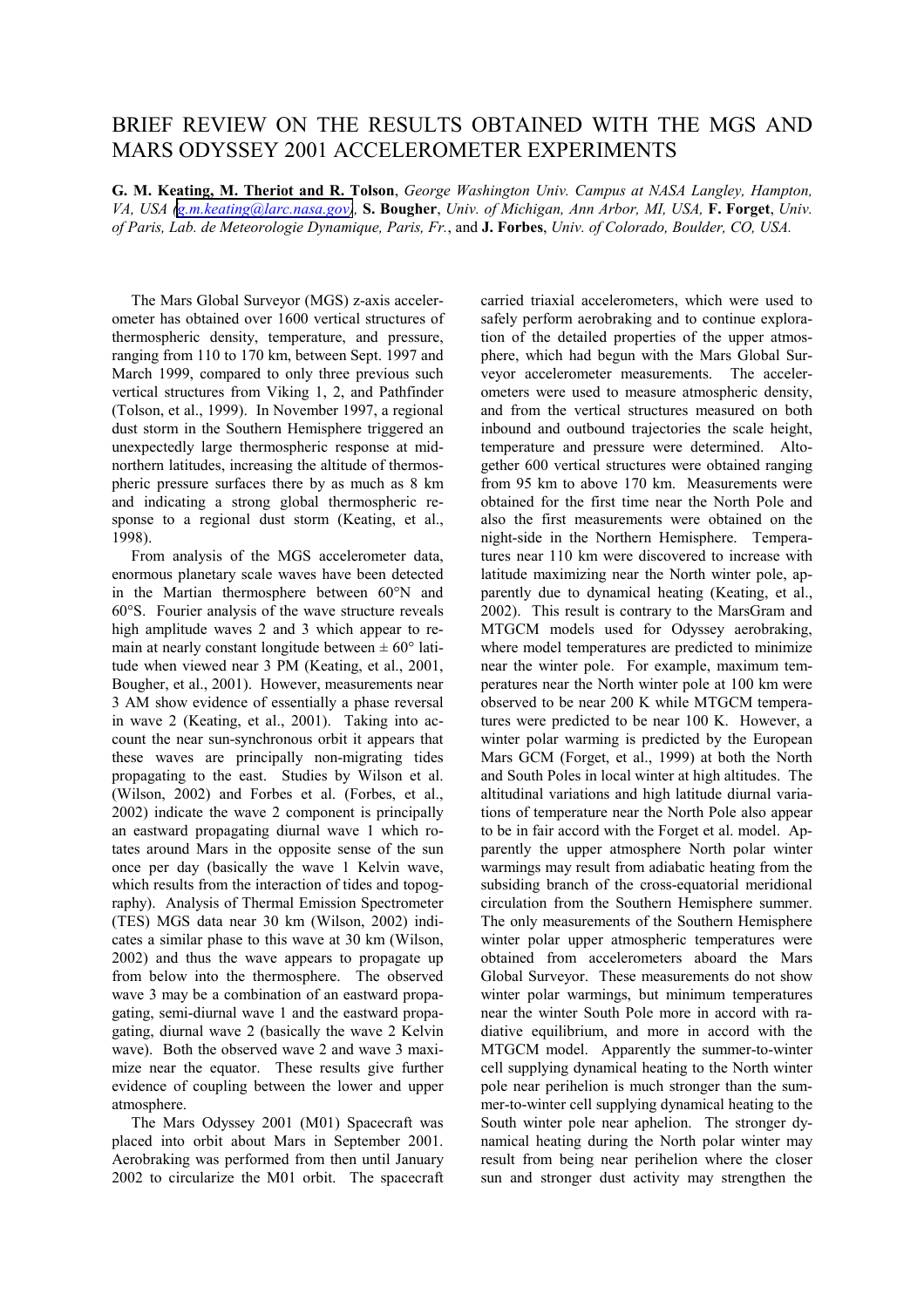## BRIEF REVIEW ON THE RESULTS OBTAINED WITH THE MGS AND MARS ODYSSEY 2001 ACCELEROMETER EXPERIMENTS

**G. M. Keating, M. Theriot and R. Tolson**, *George Washington Univ. Campus at NASA Langley, Hampton, VA, USA [\(g.m.keating@larc.nasa.gov\)](mailto:g.m.keating@larc.nasa.gov),* **S. Bougher**, *Univ. of Michigan, Ann Arbor, MI, USA,* **F. Forget**, *Univ. of Paris, Lab. de Meteorologie Dynamique, Paris, Fr.*, and **J. Forbes**, *Univ. of Colorado, Boulder, CO, USA.*

 The Mars Global Surveyor (MGS) z-axis accelerometer has obtained over 1600 vertical structures of thermospheric density, temperature, and pressure, ranging from 110 to 170 km, between Sept. 1997 and March 1999, compared to only three previous such vertical structures from Viking 1, 2, and Pathfinder (Tolson, et al., 1999). In November 1997, a regional dust storm in the Southern Hemisphere triggered an unexpectedly large thermospheric response at midnorthern latitudes, increasing the altitude of thermospheric pressure surfaces there by as much as 8 km and indicating a strong global thermospheric response to a regional dust storm (Keating, et al., 1998).

 From analysis of the MGS accelerometer data, enormous planetary scale waves have been detected in the Martian thermosphere between 60°N and 60°S. Fourier analysis of the wave structure reveals high amplitude waves 2 and 3 which appear to remain at nearly constant longitude between  $\pm 60^{\circ}$  latitude when viewed near 3 PM (Keating, et al., 2001, Bougher, et al., 2001). However, measurements near 3 AM show evidence of essentially a phase reversal in wave 2 (Keating, et al., 2001). Taking into account the near sun-synchronous orbit it appears that these waves are principally non-migrating tides propagating to the east. Studies by Wilson et al. (Wilson, 2002) and Forbes et al. (Forbes, et al., 2002) indicate the wave 2 component is principally an eastward propagating diurnal wave 1 which rotates around Mars in the opposite sense of the sun once per day (basically the wave 1 Kelvin wave, which results from the interaction of tides and topography). Analysis of Thermal Emission Spectrometer (TES) MGS data near 30 km (Wilson, 2002) indicates a similar phase to this wave at 30 km (Wilson, 2002) and thus the wave appears to propagate up from below into the thermosphere. The observed wave 3 may be a combination of an eastward propagating, semi-diurnal wave 1 and the eastward propagating, diurnal wave 2 (basically the wave 2 Kelvin wave). Both the observed wave 2 and wave 3 maximize near the equator. These results give further evidence of coupling between the lower and upper atmosphere.

 The Mars Odyssey 2001 (M01) Spacecraft was placed into orbit about Mars in September 2001. Aerobraking was performed from then until January 2002 to circularize the M01 orbit. The spacecraft carried triaxial accelerometers, which were used to safely perform aerobraking and to continue exploration of the detailed properties of the upper atmosphere, which had begun with the Mars Global Surveyor accelerometer measurements. The accelerometers were used to measure atmospheric density, and from the vertical structures measured on both inbound and outbound trajectories the scale height, temperature and pressure were determined. Altogether 600 vertical structures were obtained ranging from 95 km to above 170 km. Measurements were obtained for the first time near the North Pole and also the first measurements were obtained on the night-side in the Northern Hemisphere. Temperatures near 110 km were discovered to increase with latitude maximizing near the North winter pole, apparently due to dynamical heating (Keating, et al., 2002). This result is contrary to the MarsGram and MTGCM models used for Odyssey aerobraking, where model temperatures are predicted to minimize near the winter pole. For example, maximum temperatures near the North winter pole at 100 km were observed to be near 200 K while MTGCM temperatures were predicted to be near 100 K. However, a winter polar warming is predicted by the European Mars GCM (Forget, et al., 1999) at both the North and South Poles in local winter at high altitudes. The altitudinal variations and high latitude diurnal variations of temperature near the North Pole also appear to be in fair accord with the Forget et al. model. Apparently the upper atmosphere North polar winter warmings may result from adiabatic heating from the subsiding branch of the cross-equatorial meridional circulation from the Southern Hemisphere summer. The only measurements of the Southern Hemisphere winter polar upper atmospheric temperatures were obtained from accelerometers aboard the Mars Global Surveyor. These measurements do not show winter polar warmings, but minimum temperatures near the winter South Pole more in accord with radiative equilibrium, and more in accord with the MTGCM model. Apparently the summer-to-winter cell supplying dynamical heating to the North winter pole near perihelion is much stronger than the summer-to-winter cell supplying dynamical heating to the South winter pole near aphelion. The stronger dynamical heating during the North polar winter may result from being near perihelion where the closer sun and stronger dust activity may strengthen the